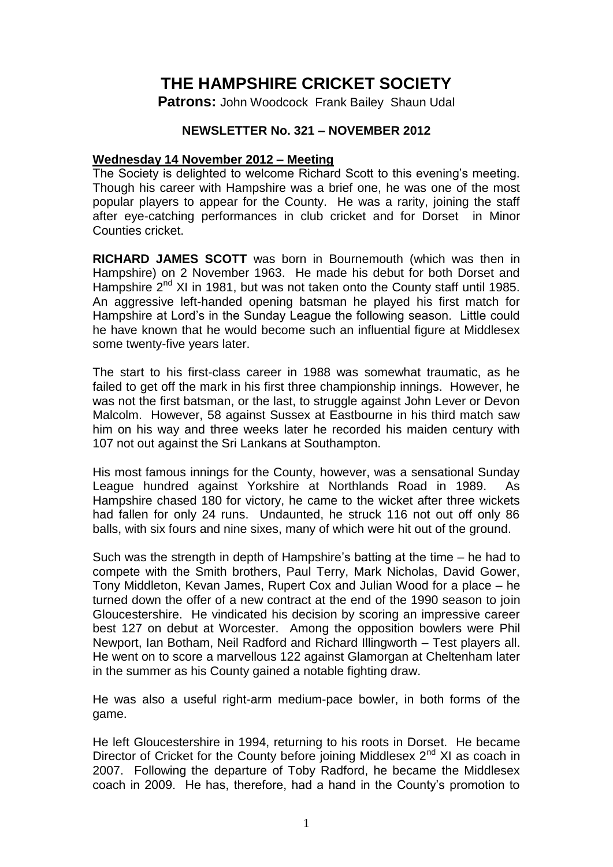# **THE HAMPSHIRE CRICKET SOCIETY**

**Patrons:** John Woodcock Frank Bailey Shaun Udal

## **NEWSLETTER No. 321 – NOVEMBER 2012**

#### **Wednesday 14 November 2012 – Meeting**

The Society is delighted to welcome Richard Scott to this evening's meeting. Though his career with Hampshire was a brief one, he was one of the most popular players to appear for the County. He was a rarity, joining the staff after eye-catching performances in club cricket and for Dorset in Minor Counties cricket.

**RICHARD JAMES SCOTT** was born in Bournemouth (which was then in Hampshire) on 2 November 1963. He made his debut for both Dorset and Hampshire  $2^{nd}$  XI in 1981, but was not taken onto the County staff until 1985. An aggressive left-handed opening batsman he played his first match for Hampshire at Lord's in the Sunday League the following season. Little could he have known that he would become such an influential figure at Middlesex some twenty-five years later.

The start to his first-class career in 1988 was somewhat traumatic, as he failed to get off the mark in his first three championship innings. However, he was not the first batsman, or the last, to struggle against John Lever or Devon Malcolm. However, 58 against Sussex at Eastbourne in his third match saw him on his way and three weeks later he recorded his maiden century with 107 not out against the Sri Lankans at Southampton.

His most famous innings for the County, however, was a sensational Sunday League hundred against Yorkshire at Northlands Road in 1989. As Hampshire chased 180 for victory, he came to the wicket after three wickets had fallen for only 24 runs. Undaunted, he struck 116 not out off only 86 balls, with six fours and nine sixes, many of which were hit out of the ground.

Such was the strength in depth of Hampshire's batting at the time – he had to compete with the Smith brothers, Paul Terry, Mark Nicholas, David Gower, Tony Middleton, Kevan James, Rupert Cox and Julian Wood for a place – he turned down the offer of a new contract at the end of the 1990 season to join Gloucestershire. He vindicated his decision by scoring an impressive career best 127 on debut at Worcester. Among the opposition bowlers were Phil Newport, Ian Botham, Neil Radford and Richard Illingworth – Test players all. He went on to score a marvellous 122 against Glamorgan at Cheltenham later in the summer as his County gained a notable fighting draw.

He was also a useful right-arm medium-pace bowler, in both forms of the game.

He left Gloucestershire in 1994, returning to his roots in Dorset. He became Director of Cricket for the County before joining Middlesex 2<sup>nd</sup> XI as coach in 2007. Following the departure of Toby Radford, he became the Middlesex coach in 2009. He has, therefore, had a hand in the County's promotion to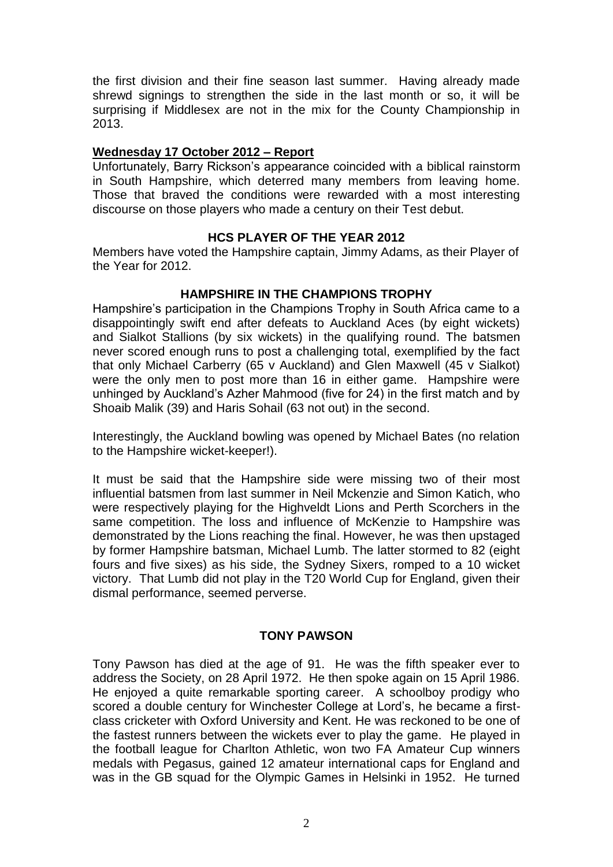the first division and their fine season last summer. Having already made shrewd signings to strengthen the side in the last month or so, it will be surprising if Middlesex are not in the mix for the County Championship in 2013.

#### **Wednesday 17 October 2012 – Report**

Unfortunately, Barry Rickson's appearance coincided with a biblical rainstorm in South Hampshire, which deterred many members from leaving home. Those that braved the conditions were rewarded with a most interesting discourse on those players who made a century on their Test debut.

## **HCS PLAYER OF THE YEAR 2012**

Members have voted the Hampshire captain, Jimmy Adams, as their Player of the Year for 2012.

#### **HAMPSHIRE IN THE CHAMPIONS TROPHY**

Hampshire's participation in the Champions Trophy in South Africa came to a disappointingly swift end after defeats to Auckland Aces (by eight wickets) and Sialkot Stallions (by six wickets) in the qualifying round. The batsmen never scored enough runs to post a challenging total, exemplified by the fact that only Michael Carberry (65 v Auckland) and Glen Maxwell (45 v Sialkot) were the only men to post more than 16 in either game. Hampshire were unhinged by Auckland's Azher Mahmood (five for 24) in the first match and by Shoaib Malik (39) and Haris Sohail (63 not out) in the second.

Interestingly, the Auckland bowling was opened by Michael Bates (no relation to the Hampshire wicket-keeper!).

It must be said that the Hampshire side were missing two of their most influential batsmen from last summer in Neil Mckenzie and Simon Katich, who were respectively playing for the Highveldt Lions and Perth Scorchers in the same competition. The loss and influence of McKenzie to Hampshire was demonstrated by the Lions reaching the final. However, he was then upstaged by former Hampshire batsman, Michael Lumb. The latter stormed to 82 (eight fours and five sixes) as his side, the Sydney Sixers, romped to a 10 wicket victory. That Lumb did not play in the T20 World Cup for England, given their dismal performance, seemed perverse.

## **TONY PAWSON**

Tony Pawson has died at the age of 91. He was the fifth speaker ever to address the Society, on 28 April 1972. He then spoke again on 15 April 1986. He enjoyed a quite remarkable sporting career. A schoolboy prodigy who scored a double century for Winchester College at Lord's, he became a firstclass cricketer with Oxford University and Kent. He was reckoned to be one of the fastest runners between the wickets ever to play the game. He played in the football league for Charlton Athletic, won two FA Amateur Cup winners medals with Pegasus, gained 12 amateur international caps for England and was in the GB squad for the Olympic Games in Helsinki in 1952. He turned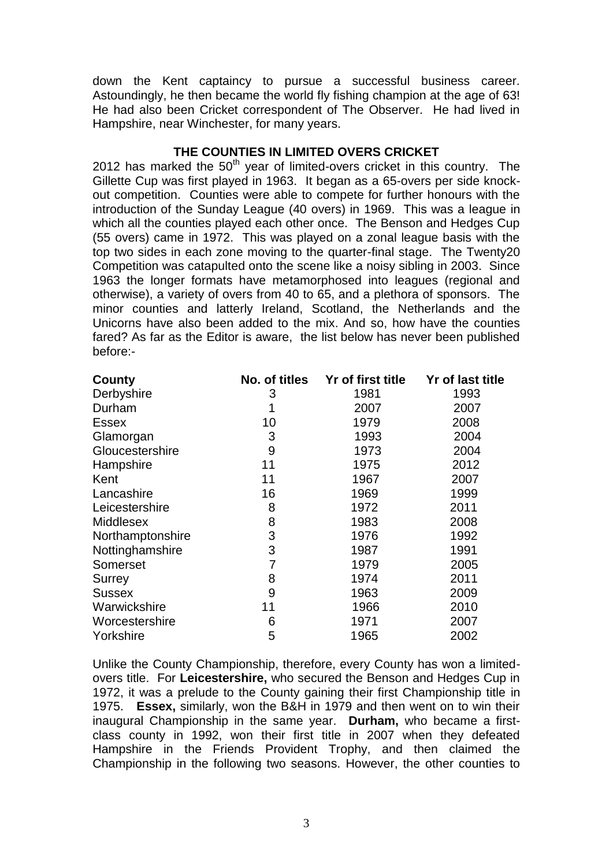down the Kent captaincy to pursue a successful business career. Astoundingly, he then became the world fly fishing champion at the age of 63! He had also been Cricket correspondent of The Observer. He had lived in Hampshire, near Winchester, for many years.

#### **THE COUNTIES IN LIMITED OVERS CRICKET**

2012 has marked the  $50<sup>th</sup>$  year of limited-overs cricket in this country. The Gillette Cup was first played in 1963. It began as a 65-overs per side knockout competition. Counties were able to compete for further honours with the introduction of the Sunday League (40 overs) in 1969. This was a league in which all the counties played each other once. The Benson and Hedges Cup (55 overs) came in 1972. This was played on a zonal league basis with the top two sides in each zone moving to the quarter-final stage. The Twenty20 Competition was catapulted onto the scene like a noisy sibling in 2003. Since 1963 the longer formats have metamorphosed into leagues (regional and otherwise), a variety of overs from 40 to 65, and a plethora of sponsors. The minor counties and latterly Ireland, Scotland, the Netherlands and the Unicorns have also been added to the mix. And so, how have the counties fared? As far as the Editor is aware, the list below has never been published before:-

| County           | No. of titles | Yr of first title | Yr of last title |
|------------------|---------------|-------------------|------------------|
| Derbyshire       | 3             | 1981              | 1993             |
| Durham           | 1             | 2007              | 2007             |
| <b>Essex</b>     | 10            | 1979              | 2008             |
| Glamorgan        | 3             | 1993              | 2004             |
| Gloucestershire  | 9             | 1973              | 2004             |
| Hampshire        | 11            | 1975              | 2012             |
| Kent             | 11            | 1967              | 2007             |
| Lancashire       | 16            | 1969              | 1999             |
| Leicestershire   | 8             | 1972              | 2011             |
| <b>Middlesex</b> | 8             | 1983              | 2008             |
| Northamptonshire | 3             | 1976              | 1992             |
| Nottinghamshire  | 3             | 1987              | 1991             |
| Somerset         | 7             | 1979              | 2005             |
| Surrey           | 8             | 1974              | 2011             |
| <b>Sussex</b>    | 9             | 1963              | 2009             |
| Warwickshire     | 11            | 1966              | 2010             |
| Worcestershire   | 6             | 1971              | 2007             |
| Yorkshire        | 5             | 1965              | 2002             |

Unlike the County Championship, therefore, every County has won a limitedovers title. For **Leicestershire,** who secured the Benson and Hedges Cup in 1972, it was a prelude to the County gaining their first Championship title in 1975. **Essex,** similarly, won the B&H in 1979 and then went on to win their inaugural Championship in the same year. **Durham,** who became a firstclass county in 1992, won their first title in 2007 when they defeated Hampshire in the Friends Provident Trophy, and then claimed the Championship in the following two seasons. However, the other counties to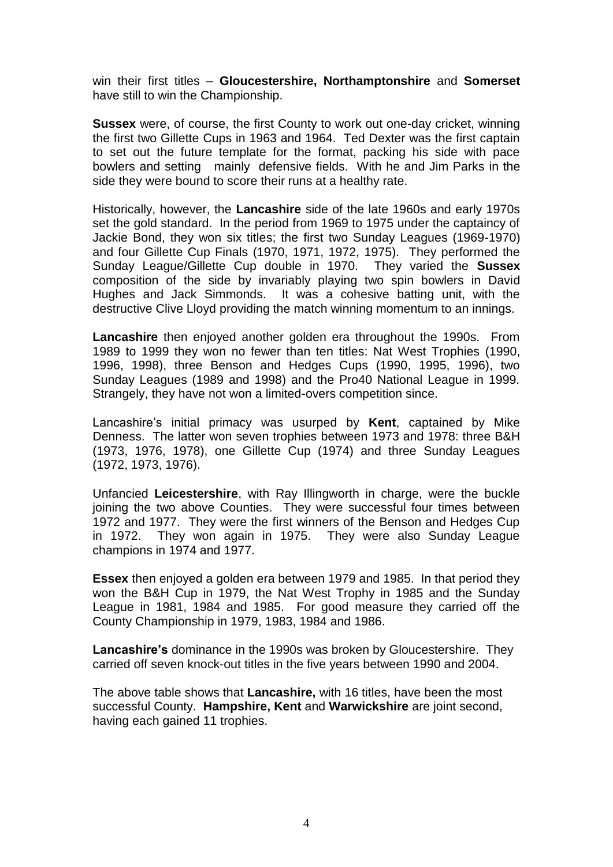win their first titles – **Gloucestershire, Northamptonshire** and **Somerset** have still to win the Championship.

**Sussex** were, of course, the first County to work out one-day cricket, winning the first two Gillette Cups in 1963 and 1964. Ted Dexter was the first captain to set out the future template for the format, packing his side with pace bowlers and setting mainly defensive fields. With he and Jim Parks in the side they were bound to score their runs at a healthy rate.

Historically, however, the **Lancashire** side of the late 1960s and early 1970s set the gold standard. In the period from 1969 to 1975 under the captaincy of Jackie Bond, they won six titles; the first two Sunday Leagues (1969-1970) and four Gillette Cup Finals (1970, 1971, 1972, 1975). They performed the Sunday League/Gillette Cup double in 1970. They varied the **Sussex**  composition of the side by invariably playing two spin bowlers in David Hughes and Jack Simmonds. It was a cohesive batting unit, with the destructive Clive Lloyd providing the match winning momentum to an innings.

**Lancashire** then enjoyed another golden era throughout the 1990s. From 1989 to 1999 they won no fewer than ten titles: Nat West Trophies (1990, 1996, 1998), three Benson and Hedges Cups (1990, 1995, 1996), two Sunday Leagues (1989 and 1998) and the Pro40 National League in 1999. Strangely, they have not won a limited-overs competition since.

Lancashire's initial primacy was usurped by **Kent**, captained by Mike Denness. The latter won seven trophies between 1973 and 1978: three B&H (1973, 1976, 1978), one Gillette Cup (1974) and three Sunday Leagues (1972, 1973, 1976).

Unfancied **Leicestershire**, with Ray Illingworth in charge, were the buckle joining the two above Counties. They were successful four times between 1972 and 1977. They were the first winners of the Benson and Hedges Cup in 1972. They won again in 1975. They were also Sunday League champions in 1974 and 1977.

**Essex** then enjoyed a golden era between 1979 and 1985. In that period they won the B&H Cup in 1979, the Nat West Trophy in 1985 and the Sunday League in 1981, 1984 and 1985. For good measure they carried off the County Championship in 1979, 1983, 1984 and 1986.

**Lancashire's** dominance in the 1990s was broken by Gloucestershire. They carried off seven knock-out titles in the five years between 1990 and 2004.

The above table shows that **Lancashire,** with 16 titles, have been the most successful County. **Hampshire, Kent** and **Warwickshire** are joint second, having each gained 11 trophies.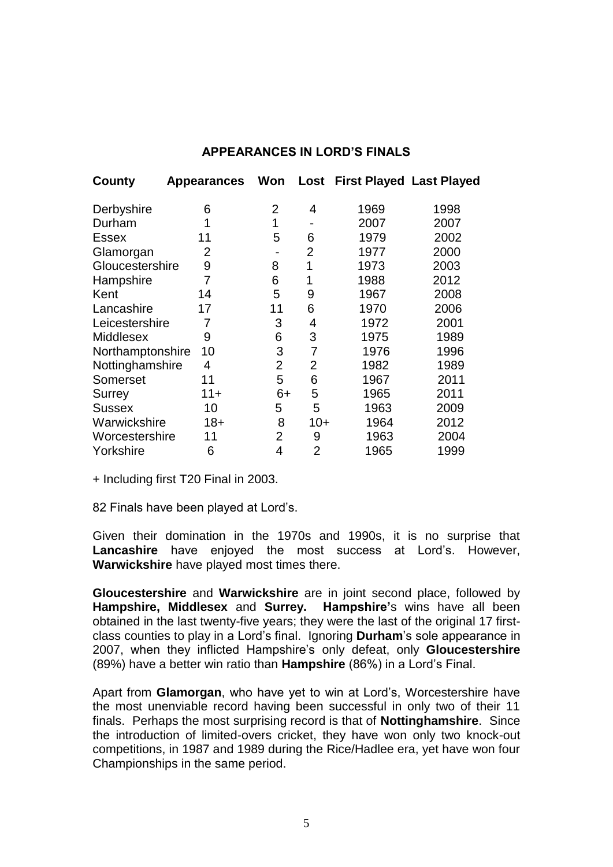# **APPEARANCES IN LORD'S FINALS**

| County           | <b>Appearances</b> | Won            | Lost           | <b>First Played Last Played</b> |      |
|------------------|--------------------|----------------|----------------|---------------------------------|------|
| Derbyshire       | 6                  | 2              | 4              | 1969                            | 1998 |
| Durham           | 1                  | 1              |                | 2007                            | 2007 |
| <b>Essex</b>     | 11                 | 5              | 6              | 1979                            | 2002 |
| Glamorgan        | $\overline{2}$     |                | $\overline{2}$ | 1977                            | 2000 |
| Gloucestershire  | 9                  | 8              | 1              | 1973                            | 2003 |
| Hampshire        | 7                  | 6              | 1              | 1988                            | 2012 |
| Kent             | 14                 | 5              | 9              | 1967                            | 2008 |
| Lancashire       | 17                 | 11             | 6              | 1970                            | 2006 |
| Leicestershire   | 7                  | 3              | 4              | 1972                            | 2001 |
| <b>Middlesex</b> | 9                  | 6              | 3              | 1975                            | 1989 |
| Northamptonshire | 10                 | 3              | 7              | 1976                            | 1996 |
| Nottinghamshire  | 4                  | $\overline{2}$ | $\overline{2}$ | 1982                            | 1989 |
| Somerset         | 11                 | 5              | 6              | 1967                            | 2011 |
| <b>Surrey</b>    | $11 +$             | $6+$           | 5              | 1965                            | 2011 |
| <b>Sussex</b>    | 10                 | 5              | 5              | 1963                            | 2009 |
| Warwickshire     | $18+$              | 8              | $10+$          | 1964                            | 2012 |
| Worcestershire   | 11                 | 2              | 9              | 1963                            | 2004 |
| Yorkshire        | 6                  | 4              | $\overline{2}$ | 1965                            | 1999 |

+ Including first T20 Final in 2003.

82 Finals have been played at Lord's.

Given their domination in the 1970s and 1990s, it is no surprise that **Lancashire** have enjoyed the most success at Lord's. However, **Warwickshire** have played most times there.

**Gloucestershire** and **Warwickshire** are in joint second place, followed by **Hampshire, Middlesex** and **Surrey. Hampshire'**s wins have all been obtained in the last twenty-five years; they were the last of the original 17 firstclass counties to play in a Lord's final. Ignoring **Durham**'s sole appearance in 2007, when they inflicted Hampshire's only defeat, only **Gloucestershire** (89%) have a better win ratio than **Hampshire** (86%) in a Lord's Final.

Apart from **Glamorgan**, who have yet to win at Lord's, Worcestershire have the most unenviable record having been successful in only two of their 11 finals. Perhaps the most surprising record is that of **Nottinghamshire**. Since the introduction of limited-overs cricket, they have won only two knock-out competitions, in 1987 and 1989 during the Rice/Hadlee era, yet have won four Championships in the same period.